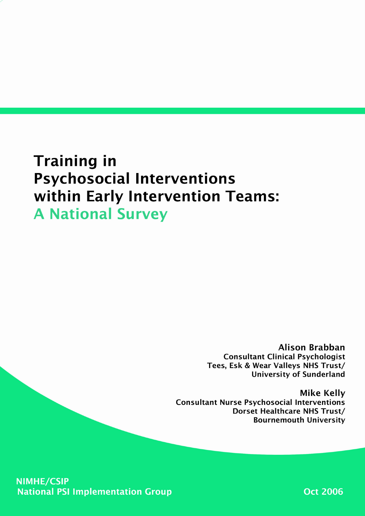# **Training in Psychosocial Interventions** within Early Intervention Teams: **A National Survey**

**Alison Brabban Consultant Clinical Psychologist** Tees, Esk & Wear Valleys NHS Trust/ **University of Sunderland** 

**Mike Kelly Consultant Nurse Psychosocial Interventions Dorset Healthcare NHS Trust/ Bournemouth University** 

**NIMHE/CSIP National PSI Implementation Group** 

**Oct 2006**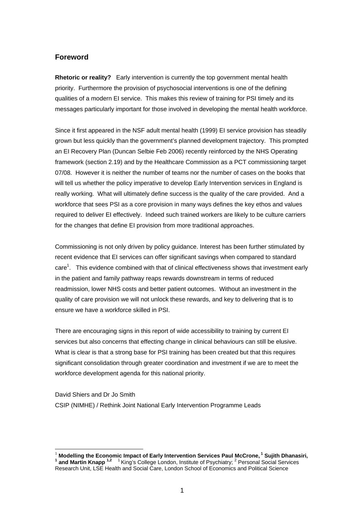# **Foreword**

**Rhetoric or reality?** Early intervention is currently the top government mental health priority. Furthermore the provision of psychosocial interventions is one of the defining qualities of a modern EI service. This makes this review of training for PSI timely and its messages particularly important for those involved in developing the mental health workforce.

Since it first appeared in the NSF adult mental health (1999) EI service provision has steadily grown but less quickly than the government's planned development trajectory. This prompted an EI Recovery Plan (Duncan Selbie Feb 2006) recently reinforced by the NHS Operating framework (section 2.19) and by the Healthcare Commission as a PCT commissioning target 07/08. However it is neither the number of teams nor the number of cases on the books that will tell us whether the policy imperative to develop Early Intervention services in England is really working. What will ultimately define success is the quality of the care provided. And a workforce that sees PSI as a core provision in many ways defines the key ethos and values required to deliver EI effectively. Indeed such trained workers are likely to be culture carriers for the changes that define EI provision from more traditional approaches.

Commissioning is not only driven by policy guidance. Interest has been further stimulated by recent evidence that EI services can offer significant savings when compared to standard care<sup>1</sup>. This evidence combined with that of clinical effectiveness shows that investment early in the patient and family pathway reaps rewards downstream in terms of reduced readmission, lower NHS costs and better patient outcomes. Without an investment in the quality of care provision we will not unlock these rewards, and key to delivering that is to ensure we have a workforce skilled in PSI.

There are encouraging signs in this report of wide accessibility to training by current EI services but also concerns that effecting change in clinical behaviours can still be elusive. What is clear is that a strong base for PSI training has been created but that this requires significant consolidation through greater coordination and investment if we are to meet the workforce development agenda for this national priority.

David Shiers and Dr Jo Smith CSIP (NIMHE) / Rethink Joint National Early Intervention Programme Leads

<sup>1</sup> **Modelling the Economic Impact of Early Intervention Services Paul McCrone, 1 Sujith Dhanasiri, <sup>1</sup>** and Martin Knapp<sup>1,2</sup><sup>1</sup> King's College London, Institute of Psychiatry; <sup>2</sup> Personal Social Services Research Unit, LSE Health and Social Care, London School of Economics and Political Science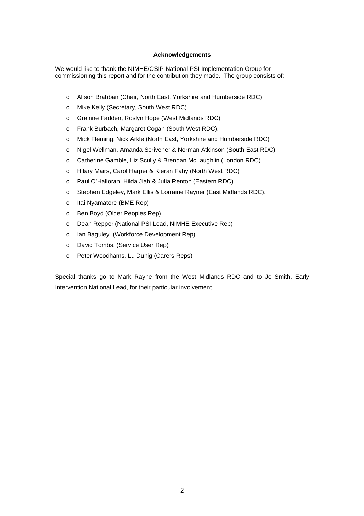## **Acknowledgements**

We would like to thank the NIMHE/CSIP National PSI Implementation Group for commissioning this report and for the contribution they made. The group consists of:

- o Alison Brabban (Chair, North East, Yorkshire and Humberside RDC)
- o Mike Kelly (Secretary, South West RDC)
- o Grainne Fadden, Roslyn Hope (West Midlands RDC)
- o Frank Burbach, Margaret Cogan (South West RDC).
- o Mick Fleming, Nick Arkle (North East, Yorkshire and Humberside RDC)
- o Nigel Wellman, Amanda Scrivener & Norman Atkinson (South East RDC)
- o Catherine Gamble, Liz Scully & Brendan McLaughlin (London RDC)
- o Hilary Mairs, Carol Harper & Kieran Fahy (North West RDC)
- o Paul O'Halloran, Hilda Jiah & Julia Renton (Eastern RDC)
- o Stephen Edgeley, Mark Ellis & Lorraine Rayner (East Midlands RDC).
- o Itai Nyamatore (BME Rep)
- o Ben Boyd (Older Peoples Rep)
- o Dean Repper (National PSI Lead, NIMHE Executive Rep)
- o Ian Baguley. (Workforce Development Rep)
- o David Tombs. (Service User Rep)
- o Peter Woodhams, Lu Duhig (Carers Reps)

Special thanks go to Mark Rayne from the West Midlands RDC and to Jo Smith, Early Intervention National Lead, for their particular involvement.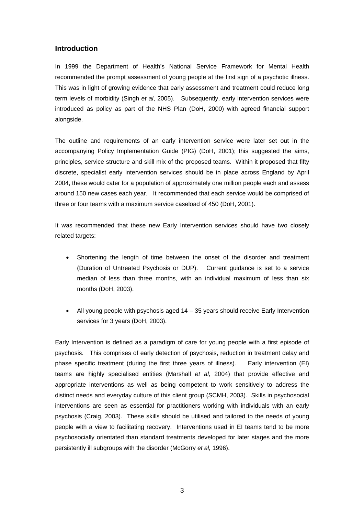# **Introduction**

In 1999 the Department of Health's National Service Framework for Mental Health recommended the prompt assessment of young people at the first sign of a psychotic illness. This was in light of growing evidence that early assessment and treatment could reduce long term levels of morbidity (Singh *et al*, 2005). Subsequently, early intervention services were introduced as policy as part of the NHS Plan (DoH, 2000) with agreed financial support alongside.

The outline and requirements of an early intervention service were later set out in the accompanying Policy Implementation Guide (PIG) (DoH, 2001); this suggested the aims, principles, service structure and skill mix of the proposed teams. Within it proposed that fifty discrete, specialist early intervention services should be in place across England by April 2004, these would cater for a population of approximately one million people each and assess around 150 new cases each year. It recommended that each service would be comprised of three or four teams with a maximum service caseload of 450 (DoH, 2001).

It was recommended that these new Early Intervention services should have two closely related targets:

- Shortening the length of time between the onset of the disorder and treatment (Duration of Untreated Psychosis or DUP). Current guidance is set to a service median of less than three months, with an individual maximum of less than six months (DoH, 2003).
- All young people with psychosis aged 14 35 years should receive Early Intervention services for 3 years (DoH, 2003).

Early Intervention is defined as a paradigm of care for young people with a first episode of psychosis. This comprises of early detection of psychosis, reduction in treatment delay and phase specific treatment (during the first three years of illness). Early intervention (EI) teams are highly specialised entities (Marshall *et al,* 2004) that provide effective and appropriate interventions as well as being competent to work sensitively to address the distinct needs and everyday culture of this client group (SCMH, 2003). Skills in psychosocial interventions are seen as essential for practitioners working with individuals with an early psychosis (Craig, 2003). These skills should be utilised and tailored to the needs of young people with a view to facilitating recovery. Interventions used in EI teams tend to be more psychosocially orientated than standard treatments developed for later stages and the more persistently ill subgroups with the disorder (McGorry *et al,* 1996).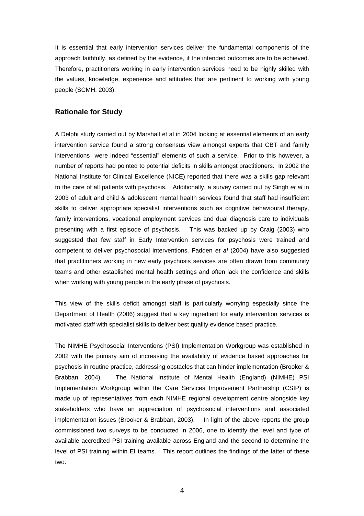It is essential that early intervention services deliver the fundamental components of the approach faithfully, as defined by the evidence, if the intended outcomes are to be achieved. Therefore, practitioners working in early intervention services need to be highly skilled with the values, knowledge, experience and attitudes that are pertinent to working with young people (SCMH, 2003).

## **Rationale for Study**

A Delphi study carried out by Marshall et al in 2004 looking at essential elements of an early intervention service found a strong consensus view amongst experts that CBT and family interventions were indeed "essential" elements of such a service. Prior to this however, a number of reports had pointed to potential deficits in skills amongst practitioners. In 2002 the National Institute for Clinical Excellence (NICE) reported that there was a skills gap relevant to the care of all patients with psychosis. Additionally, a survey carried out by Singh *et al* in 2003 of adult and child & adolescent mental health services found that staff had insufficient skills to deliver appropriate specialist interventions such as cognitive behavioural therapy, family interventions, vocational employment services and dual diagnosis care to individuals presenting with a first episode of psychosis. This was backed up by Craig (2003) who suggested that few staff in Early Intervention services for psychosis were trained and competent to deliver psychosocial interventions. Fadden *et al* (2004) have also suggested that practitioners working in new early psychosis services are often drawn from community teams and other established mental health settings and often lack the confidence and skills when working with young people in the early phase of psychosis.

This view of the skills deficit amongst staff is particularly worrying especially since the Department of Health (2006) suggest that a key ingredient for early intervention services is motivated staff with specialist skills to deliver best quality evidence based practice.

The NIMHE Psychosocial Interventions (PSI) Implementation Workgroup was established in 2002 with the primary aim of increasing the availability of evidence based approaches for psychosis in routine practice, addressing obstacles that can hinder implementation (Brooker & Brabban, 2004). The National Institute of Mental Health (England) (NIMHE) PSI Implementation Workgroup within the Care Services Improvement Partnership (CSIP) is made up of representatives from each NIMHE regional development centre alongside key stakeholders who have an appreciation of psychosocial interventions and associated implementation issues (Brooker & Brabban, 2003). In light of the above reports the group commissioned two surveys to be conducted in 2006, one to identify the level and type of available accredited PSI training available across England and the second to determine the level of PSI training within EI teams. This report outlines the findings of the latter of these two.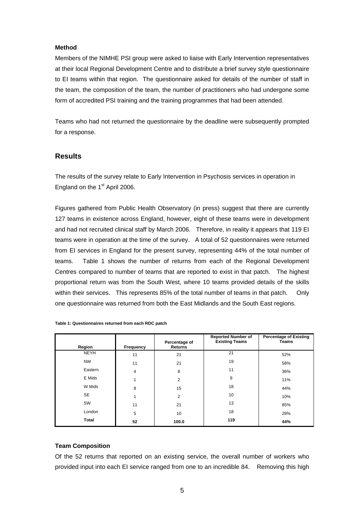## **Method**

Members of the NIMHE PSI group were asked to liaise with Early Intervention representatives at their local Regional Development Centre and to distribute a brief survey style questionnaire to EI teams within that region. The questionnaire asked for details of the number of staff in the team, the composition of the team, the number of practitioners who had undergone some form of accredited PSI training and the training programmes that had been attended.

Teams who had not returned the questionnaire by the deadline were subsequently prompted for a response.

# **Results**

The results of the survey relate to Early Intervention in Psychosis services in operation in England on the  $1<sup>st</sup>$  April 2006.

Figures gathered from Public Health Observatory (in press) suggest that there are currently 127 teams in existence across England, however, eight of these teams were in development and had not recruited clinical staff by March 2006. Therefore, in reality it appears that 119 EI teams were in operation at the time of the survey. A total of 52 questionnaires were returned from EI services in England for the present survey, representing 44% of the total number of teams. Table 1 shows the number of returns from each of the Regional Development Centres compared to number of teams that are reported to exist in that patch. The highest proportional return was from the South West, where 10 teams provided details of the skills within their services. This represents 85% of the total number of teams in that patch. Only one questionnaire was returned from both the East Midlands and the South East regions.

| Region       | Frequency | Percentage of<br><b>Returns</b> | <b>Reported Number of</b><br><b>Existing Teams</b> | <b>Percentage of Existing</b><br><b>Teams</b> |
|--------------|-----------|---------------------------------|----------------------------------------------------|-----------------------------------------------|
| <b>NEYH</b>  | 11        | 21                              | 21                                                 | 52%                                           |
| <b>NW</b>    | 11        | 21                              | 19                                                 | 58%                                           |
| Eastern      | 4         | 8                               | 11                                                 | 36%                                           |
| E Mids       |           | $\overline{2}$                  | 9                                                  | 11%                                           |
| W Mids       | 8         | 15                              | 18                                                 | 44%                                           |
| <b>SE</b>    |           | 2                               | 10                                                 | 10%                                           |
| SW           | 11        | 21                              | 13                                                 | 85%                                           |
| London       | 5         | 10                              | 18                                                 | 28%                                           |
| <b>Total</b> | 52        | 100.0                           | 119                                                | 44%                                           |

**Table 1: Questionnaires returned from each RDC patch** 

#### **Team Composition**

Of the 52 returns that reported on an existing service, the overall number of workers who provided input into each EI service ranged from one to an incredible 84. Removing this high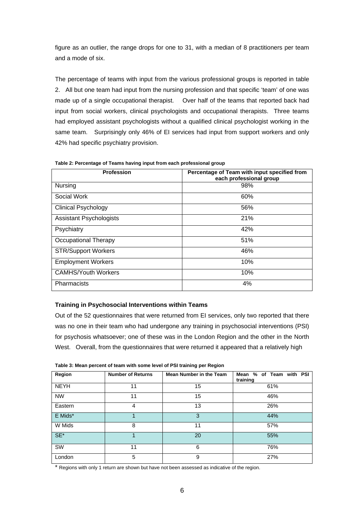figure as an outlier, the range drops for one to 31, with a median of 8 practitioners per team and a mode of six.

The percentage of teams with input from the various professional groups is reported in table 2. All but one team had input from the nursing profession and that specific 'team' of one was made up of a single occupational therapist. Over half of the teams that reported back had input from social workers, clinical psychologists and occupational therapists. Three teams had employed assistant psychologists without a qualified clinical psychologist working in the same team. Surprisingly only 46% of EI services had input from support workers and only 42% had specific psychiatry provision.

| <b>Profession</b>              | Percentage of Team with input specified from<br>each professional group |  |  |
|--------------------------------|-------------------------------------------------------------------------|--|--|
| Nursing                        | 98%                                                                     |  |  |
| Social Work                    | 60%                                                                     |  |  |
| <b>Clinical Psychology</b>     | 56%                                                                     |  |  |
| <b>Assistant Psychologists</b> | 21%                                                                     |  |  |
| Psychiatry                     | 42%                                                                     |  |  |
| <b>Occupational Therapy</b>    | 51%                                                                     |  |  |
| <b>STR/Support Workers</b>     | 46%                                                                     |  |  |
| <b>Employment Workers</b>      | 10%                                                                     |  |  |
| <b>CAMHS/Youth Workers</b>     | 10%                                                                     |  |  |
| Pharmacists                    | 4%                                                                      |  |  |

**Table 2: Percentage of Teams having input from each professional group** 

#### **Training in Psychosocial Interventions within Teams**

Out of the 52 questionnaires that were returned from EI services, only two reported that there was no one in their team who had undergone any training in psychosocial interventions (PSI) for psychosis whatsoever; one of these was in the London Region and the other in the North West. Overall, from the questionnaires that were returned it appeared that a relatively high

| Region      | <b>Number of Returns</b> | Mean Number in the Team | Mean % of Team with PSI<br>training |  |  |
|-------------|--------------------------|-------------------------|-------------------------------------|--|--|
| <b>NEYH</b> | 11                       | 15                      | 61%                                 |  |  |
| <b>NW</b>   | 11                       | 15                      | 46%                                 |  |  |
| Eastern     | 4                        | 13                      | 26%                                 |  |  |
| E Mids*     |                          | 3                       | 44%                                 |  |  |
| W Mids      | 8                        | 11                      | 57%                                 |  |  |
| $SE^*$      |                          | 20                      | 55%                                 |  |  |
| SW          | 11                       | 6                       | 76%                                 |  |  |
| London      | 5                        | 9                       | 27%                                 |  |  |

**Table 3: Mean percent of team with some level of PSI training per Region** 

\* Regions with only 1 return are shown but have not been assessed as indicative of the region.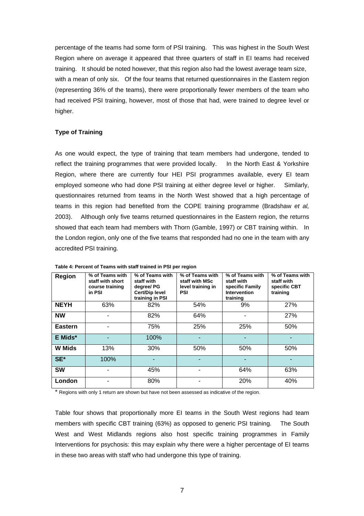percentage of the teams had some form of PSI training. This was highest in the South West Region where on average it appeared that three quarters of staff in EI teams had received training. It should be noted however, that this region also had the lowest average team size, with a mean of only six. Of the four teams that returned questionnaires in the Eastern region (representing 36% of the teams), there were proportionally fewer members of the team who had received PSI training, however, most of those that had, were trained to degree level or higher.

# **Type of Training**

As one would expect, the type of training that team members had undergone, tended to reflect the training programmes that were provided locally. In the North East & Yorkshire Region, where there are currently four HEI PSI programmes available, every EI team employed someone who had done PSI training at either degree level or higher. Similarly, questionnaires returned from teams in the North West showed that a high percentage of teams in this region had benefited from the COPE training programme (Bradshaw *et al,* 2003). Although only five teams returned questionnaires in the Eastern region, the returns showed that each team had members with Thorn (Gamble, 1997) or CBT training within. In the London region, only one of the five teams that responded had no one in the team with any accredited PSI training.

| Region         | % of Teams with<br>staff with short<br>course training<br>in PSI | % of Teams with<br>staff with<br>degree/ PG<br>Cert/Dip level<br>training in PSI | % of Teams with<br>staff with MSc<br>level training in<br>PSI | % of Teams with<br>staff with<br>specific Family<br><b>Intervention</b><br>training | % of Teams with<br>staff with<br>specific CBT<br>training |
|----------------|------------------------------------------------------------------|----------------------------------------------------------------------------------|---------------------------------------------------------------|-------------------------------------------------------------------------------------|-----------------------------------------------------------|
| <b>NEYH</b>    | 63%                                                              | 82%                                                                              | 54%                                                           | 9%                                                                                  | 27%                                                       |
| <b>NW</b>      |                                                                  | 82%                                                                              | 64%                                                           |                                                                                     | 27%                                                       |
| <b>Eastern</b> |                                                                  | 75%                                                                              | 25%                                                           | 25%                                                                                 | 50%                                                       |
| E Mids*        |                                                                  | 100%                                                                             |                                                               |                                                                                     |                                                           |
| <b>W</b> Mids  | 13%                                                              | 30%                                                                              | 50%                                                           | 50%                                                                                 | 50%                                                       |
| SE*            | 100%                                                             |                                                                                  |                                                               |                                                                                     |                                                           |
| <b>SW</b>      |                                                                  | 45%                                                                              |                                                               | 64%                                                                                 | 63%                                                       |
| London         |                                                                  | 80%                                                                              |                                                               | 20%                                                                                 | 40%                                                       |

**Table 4: Percent of Teams with staff trained in PSI per region** 

\* Regions with only 1 return are shown but have not been assessed as indicative of the region.

Table four shows that proportionally more EI teams in the South West regions had team members with specific CBT training (63%) as opposed to generic PSI training. The South West and West Midlands regions also host specific training programmes in Family Interventions for psychosis: this may explain why there were a higher percentage of EI teams in these two areas with staff who had undergone this type of training.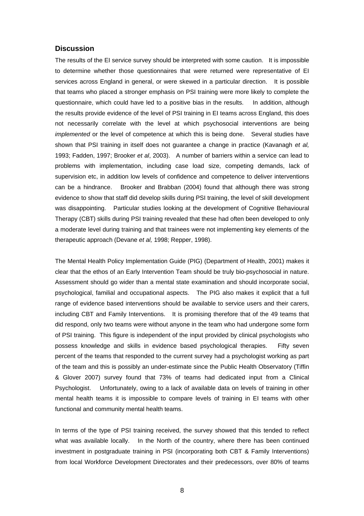## **Discussion**

The results of the EI service survey should be interpreted with some caution. It is impossible to determine whether those questionnaires that were returned were representative of EI services across England in general, or were skewed in a particular direction. It is possible that teams who placed a stronger emphasis on PSI training were more likely to complete the questionnaire, which could have led to a positive bias in the results. In addition, although the results provide evidence of the level of PSI training in EI teams across England, this does not necessarily correlate with the level at which psychosocial interventions are being *implemented* or the level of competence at which this is being done. Several studies have shown that PSI training in itself does not guarantee a change in practice (Kavanagh *et al,* 1993; Fadden, 1997; Brooker *et al*, 2003). A number of barriers within a service can lead to problems with implementation, including case load size, competing demands, lack of supervision etc, in addition low levels of confidence and competence to deliver interventions can be a hindrance. Brooker and Brabban (2004) found that although there was strong evidence to show that staff did develop skills during PSI training, the level of skill development was disappointing. Particular studies looking at the development of Cognitive Behavioural Therapy (CBT) skills during PSI training revealed that these had often been developed to only a moderate level during training and that trainees were not implementing key elements of the therapeutic approach (Devane *et al,* 1998; Repper, 1998).

The Mental Health Policy Implementation Guide (PIG) (Department of Health, 2001) makes it clear that the ethos of an Early Intervention Team should be truly bio-psychosocial in nature. Assessment should go wider than a mental state examination and should incorporate social, psychological, familial and occupational aspects. The PIG also makes it explicit that a full range of evidence based interventions should be available to service users and their carers, including CBT and Family Interventions. It is promising therefore that of the 49 teams that did respond, only two teams were without anyone in the team who had undergone some form of PSI training. This figure is independent of the input provided by clinical psychologists who possess knowledge and skills in evidence based psychological therapies. Fifty seven percent of the teams that responded to the current survey had a psychologist working as part of the team and this is possibly an under-estimate since the Public Health Observatory (Tiffin & Glover 2007) survey found that 73% of teams had dedicated input from a Clinical Psychologist. Unfortunately, owing to a lack of available data on levels of training in other mental health teams it is impossible to compare levels of training in EI teams with other functional and community mental health teams.

In terms of the type of PSI training received, the survey showed that this tended to reflect what was available locally. In the North of the country, where there has been continued investment in postgraduate training in PSI (incorporating both CBT & Family Interventions) from local Workforce Development Directorates and their predecessors, over 80% of teams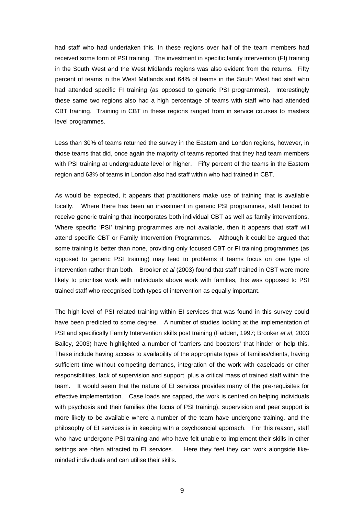had staff who had undertaken this. In these regions over half of the team members had received some form of PSI training. The investment in specific family intervention (FI) training in the South West and the West Midlands regions was also evident from the returns. Fifty percent of teams in the West Midlands and 64% of teams in the South West had staff who had attended specific FI training (as opposed to generic PSI programmes). Interestingly these same two regions also had a high percentage of teams with staff who had attended CBT training. Training in CBT in these regions ranged from in service courses to masters level programmes.

Less than 30% of teams returned the survey in the Eastern and London regions, however, in those teams that did, once again the majority of teams reported that they had team members with PSI training at undergraduate level or higher. Fifty percent of the teams in the Eastern region and 63% of teams in London also had staff within who had trained in CBT.

As would be expected, it appears that practitioners make use of training that is available locally. Where there has been an investment in generic PSI programmes, staff tended to receive generic training that incorporates both individual CBT as well as family interventions. Where specific 'PSI' training programmes are not available, then it appears that staff will attend specific CBT or Family Intervention Programmes. Although it could be argued that some training is better than none, providing only focused CBT or FI training programmes (as opposed to generic PSI training) may lead to problems if teams focus on one type of intervention rather than both. Brooker *et al* (2003) found that staff trained in CBT were more likely to prioritise work with individuals above work with families, this was opposed to PSI trained staff who recognised both types of intervention as equally important.

The high level of PSI related training within EI services that was found in this survey could have been predicted to some degree. A number of studies looking at the implementation of PSI and specifically Family Intervention skills post training (Fadden, 1997; Brooker *et al*, 2003 Bailey, 2003) have highlighted a number of 'barriers and boosters' that hinder or help this. These include having access to availability of the appropriate types of families/clients, having sufficient time without competing demands, integration of the work with caseloads or other responsibilities, lack of supervision and support, plus a critical mass of trained staff within the team. It would seem that the nature of EI services provides many of the pre-requisites for effective implementation. Case loads are capped, the work is centred on helping individuals with psychosis and their families (the focus of PSI training), supervision and peer support is more likely to be available where a number of the team have undergone training, and the philosophy of EI services is in keeping with a psychosocial approach. For this reason, staff who have undergone PSI training and who have felt unable to implement their skills in other settings are often attracted to EI services. Here they feel they can work alongside likeminded individuals and can utilise their skills.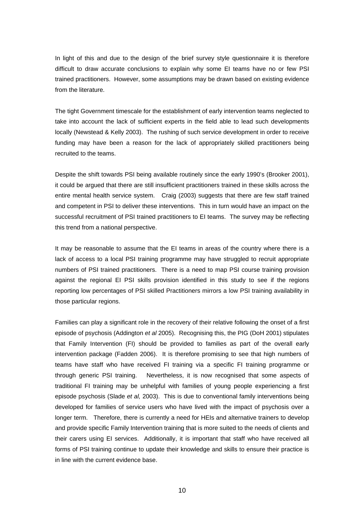In light of this and due to the design of the brief survey style questionnaire it is therefore difficult to draw accurate conclusions to explain why some EI teams have no or few PSI trained practitioners. However, some assumptions may be drawn based on existing evidence from the literature.

The tight Government timescale for the establishment of early intervention teams neglected to take into account the lack of sufficient experts in the field able to lead such developments locally (Newstead & Kelly 2003). The rushing of such service development in order to receive funding may have been a reason for the lack of appropriately skilled practitioners being recruited to the teams.

Despite the shift towards PSI being available routinely since the early 1990's (Brooker 2001), it could be argued that there are still insufficient practitioners trained in these skills across the entire mental health service system. Craig (2003) suggests that there are few staff trained and competent in PSI to deliver these interventions. This in turn would have an impact on the successful recruitment of PSI trained practitioners to EI teams. The survey may be reflecting this trend from a national perspective.

It may be reasonable to assume that the EI teams in areas of the country where there is a lack of access to a local PSI training programme may have struggled to recruit appropriate numbers of PSI trained practitioners. There is a need to map PSI course training provision against the regional EI PSI skills provision identified in this study to see if the regions reporting low percentages of PSI skilled Practitioners mirrors a low PSI training availability in those particular regions.

Families can play a significant role in the recovery of their relative following the onset of a first episode of psychosis (Addington *et al* 2005). Recognising this, the PIG (DoH 2001) stipulates that Family Intervention (FI) should be provided to families as part of the overall early intervention package (Fadden 2006). It is therefore promising to see that high numbers of teams have staff who have received FI training via a specific FI training programme or through generic PSI training. Nevertheless, it is now recognised that some aspects of traditional FI training may be unhelpful with families of young people experiencing a first episode psychosis (Slade *et al,* 2003). This is due to conventional family interventions being developed for families of service users who have lived with the impact of psychosis over a longer term. Therefore, there is currently a need for HEIs and alternative trainers to develop and provide specific Family Intervention training that is more suited to the needs of clients and their carers using EI services. Additionally, it is important that staff who have received all forms of PSI training continue to update their knowledge and skills to ensure their practice is in line with the current evidence base.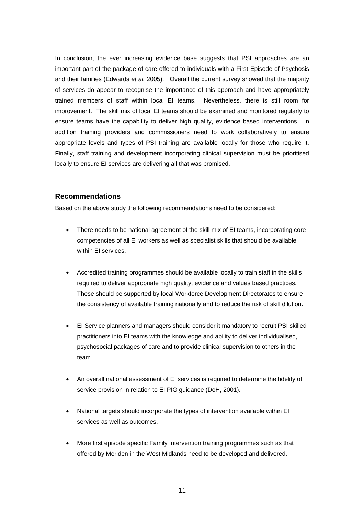In conclusion, the ever increasing evidence base suggests that PSI approaches are an important part of the package of care offered to individuals with a First Episode of Psychosis and their families (Edwards *et al,* 2005). Overall the current survey showed that the majority of services do appear to recognise the importance of this approach and have appropriately trained members of staff within local EI teams. Nevertheless, there is still room for improvement. The skill mix of local EI teams should be examined and monitored regularly to ensure teams have the capability to deliver high quality, evidence based interventions. In addition training providers and commissioners need to work collaboratively to ensure appropriate levels and types of PSI training are available locally for those who require it. Finally, staff training and development incorporating clinical supervision must be prioritised locally to ensure EI services are delivering all that was promised.

## **Recommendations**

Based on the above study the following recommendations need to be considered:

- There needs to be national agreement of the skill mix of EI teams, incorporating core competencies of all EI workers as well as specialist skills that should be available within EI services.
- Accredited training programmes should be available locally to train staff in the skills required to deliver appropriate high quality, evidence and values based practices. These should be supported by local Workforce Development Directorates to ensure the consistency of available training nationally and to reduce the risk of skill dilution.
- EI Service planners and managers should consider it mandatory to recruit PSI skilled practitioners into EI teams with the knowledge and ability to deliver individualised, psychosocial packages of care and to provide clinical supervision to others in the team.
- An overall national assessment of EI services is required to determine the fidelity of service provision in relation to EI PIG guidance (DoH, 2001).
- National targets should incorporate the types of intervention available within EI services as well as outcomes.
- More first episode specific Family Intervention training programmes such as that offered by Meriden in the West Midlands need to be developed and delivered.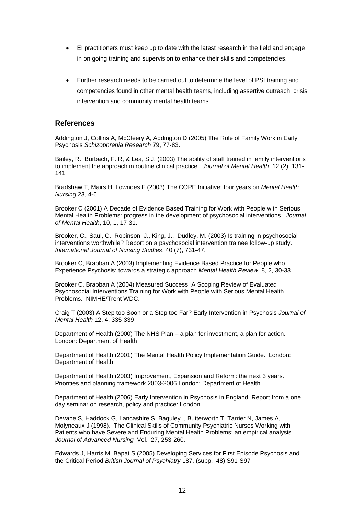- EI practitioners must keep up to date with the latest research in the field and engage in on going training and supervision to enhance their skills and competencies.
- Further research needs to be carried out to determine the level of PSI training and competencies found in other mental health teams, including assertive outreach, crisis intervention and community mental health teams.

# **References**

Addington J, Collins A, McCleery A, Addington D (2005) The Role of Family Work in Early Psychosis *Schizophrenia Research* 79, 77-83.

Bailey, R., Burbach, F. R, & Lea, S.J. (2003) The ability of staff trained in family interventions to implement the approach in routine clinical practice. *Journal of Mental Health*, 12 (2), 131- 141

Bradshaw T, Mairs H, Lowndes F (2003) The COPE Initiative: four years on *Mental Health Nursing* 23, 4-6

Brooker C (2001) A Decade of Evidence Based Training for Work with People with Serious Mental Health Problems: progress in the development of psychosocial interventions. *Journal of Mental Health*, 10, 1, 17-31.

Brooker, C., Saul, C., Robinson, J., King, J., Dudley, M. (2003) Is training in psychosocial interventions worthwhile? Report on a psychosocial intervention trainee follow-up study. *International Journal of Nursing Studies*, 40 (7), 731-47.

Brooker C, Brabban A (2003) Implementing Evidence Based Practice for People who Experience Psychosis: towards a strategic approach *Mental Health Review*, 8, 2, 30-33

Brooker C, Brabban A (2004) Measured Success: A Scoping Review of Evaluated Psychosocial Interventions Training for Work with People with Serious Mental Health Problems. NIMHE/Trent WDC.

Craig T (2003) A Step too Soon or a Step too Far? Early Intervention in Psychosis *Journal of Mental Health* 12, 4, 335-339

Department of Health (2000) The NHS Plan – a plan for investment, a plan for action. London: Department of Health

Department of Health (2001) The Mental Health Policy Implementation Guide. London: Department of Health

Department of Health (2003) Improvement, Expansion and Reform: the next 3 years. Priorities and planning framework 2003-2006 London: Department of Health.

Department of Health (2006) Early Intervention in Psychosis in England: Report from a one day seminar on research, policy and practice: London

Devane S, Haddock G, Lancashire S, Baguley I, Butterworth T, Tarrier N, James A, Molyneaux J (1998). The Clinical Skills of Community Psychiatric Nurses Working with Patients who have Severe and Enduring Mental Health Problems: an empirical analysis. *Journal of Advanced Nursing* Vol. 27, 253-260.

Edwards J, Harris M, Bapat S (2005) Developing Services for First Episode Psychosis and the Critical Period *British Journal of Psychiatry* 187, (supp. 48) S91-S97